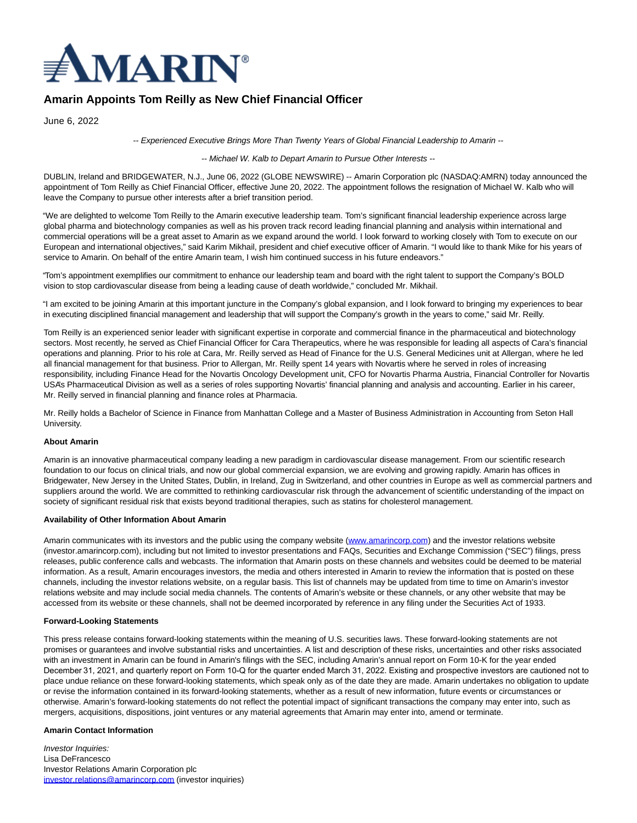

# **Amarin Appoints Tom Reilly as New Chief Financial Officer**

June 6, 2022

-- Experienced Executive Brings More Than Twenty Years of Global Financial Leadership to Amarin --

-- Michael W. Kalb to Depart Amarin to Pursue Other Interests --

DUBLIN, Ireland and BRIDGEWATER, N.J., June 06, 2022 (GLOBE NEWSWIRE) -- Amarin Corporation plc (NASDAQ:AMRN) today announced the appointment of Tom Reilly as Chief Financial Officer, effective June 20, 2022. The appointment follows the resignation of Michael W. Kalb who will leave the Company to pursue other interests after a brief transition period.

"We are delighted to welcome Tom Reilly to the Amarin executive leadership team. Tom's significant financial leadership experience across large global pharma and biotechnology companies as well as his proven track record leading financial planning and analysis within international and commercial operations will be a great asset to Amarin as we expand around the world. I look forward to working closely with Tom to execute on our European and international objectives," said Karim Mikhail, president and chief executive officer of Amarin. "I would like to thank Mike for his years of service to Amarin. On behalf of the entire Amarin team, I wish him continued success in his future endeavors."

"Tom's appointment exemplifies our commitment to enhance our leadership team and board with the right talent to support the Company's BOLD vision to stop cardiovascular disease from being a leading cause of death worldwide," concluded Mr. Mikhail.

"I am excited to be joining Amarin at this important juncture in the Company's global expansion, and I look forward to bringing my experiences to bear in executing disciplined financial management and leadership that will support the Company's growth in the years to come," said Mr. Reilly.

Tom Reilly is an experienced senior leader with significant expertise in corporate and commercial finance in the pharmaceutical and biotechnology sectors. Most recently, he served as Chief Financial Officer for Cara Therapeutics, where he was responsible for leading all aspects of Cara's financial operations and planning. Prior to his role at Cara, Mr. Reilly served as Head of Finance for the U.S. General Medicines unit at Allergan, where he led all financial management for that business. Prior to Allergan, Mr. Reilly spent 14 years with Novartis where he served in roles of increasing responsibility, including Finance Head for the Novartis Oncology Development unit, CFO for Novartis Pharma Austria, Financial Controller for Novartis USA's Pharmaceutical Division as well as a series of roles supporting Novartis' financial planning and analysis and accounting. Earlier in his career, Mr. Reilly served in financial planning and finance roles at Pharmacia.

Mr. Reilly holds a Bachelor of Science in Finance from Manhattan College and a Master of Business Administration in Accounting from Seton Hall University.

## **About Amarin**

Amarin is an innovative pharmaceutical company leading a new paradigm in cardiovascular disease management. From our scientific research foundation to our focus on clinical trials, and now our global commercial expansion, we are evolving and growing rapidly. Amarin has offices in Bridgewater, New Jersey in the United States, Dublin, in Ireland, Zug in Switzerland, and other countries in Europe as well as commercial partners and suppliers around the world. We are committed to rethinking cardiovascular risk through the advancement of scientific understanding of the impact on society of significant residual risk that exists beyond traditional therapies, such as statins for cholesterol management.

#### **Availability of Other Information About Amarin**

Amarin communicates with its investors and the public using the company website [\(www.amarincorp.com\)](https://www.globenewswire.com/Tracker?data=FTWiQzHUkqmwncx0duAFnsJTQn6oYIH6TQ3AfdhOdqZI9VzjgX8Div2obMv_RKq8C2XctCRObJUvz75ltft6d_wfsJ8miZeepC-ak6vJCNo=) and the investor relations website (investor.amarincorp.com), including but not limited to investor presentations and FAQs, Securities and Exchange Commission ("SEC") filings, press releases, public conference calls and webcasts. The information that Amarin posts on these channels and websites could be deemed to be material information. As a result, Amarin encourages investors, the media and others interested in Amarin to review the information that is posted on these channels, including the investor relations website, on a regular basis. This list of channels may be updated from time to time on Amarin's investor relations website and may include social media channels. The contents of Amarin's website or these channels, or any other website that may be accessed from its website or these channels, shall not be deemed incorporated by reference in any filing under the Securities Act of 1933.

#### **Forward-Looking Statements**

This press release contains forward-looking statements within the meaning of U.S. securities laws. These forward-looking statements are not promises or guarantees and involve substantial risks and uncertainties. A list and description of these risks, uncertainties and other risks associated with an investment in Amarin can be found in Amarin's filings with the SEC, including Amarin's annual report on Form 10-K for the year ended December 31, 2021, and quarterly report on Form 10-Q for the quarter ended March 31, 2022. Existing and prospective investors are cautioned not to place undue reliance on these forward-looking statements, which speak only as of the date they are made. Amarin undertakes no obligation to update or revise the information contained in its forward-looking statements, whether as a result of new information, future events or circumstances or otherwise. Amarin's forward-looking statements do not reflect the potential impact of significant transactions the company may enter into, such as mergers, acquisitions, dispositions, joint ventures or any material agreements that Amarin may enter into, amend or terminate.

### **Amarin Contact Information**

Investor Inquiries: Lisa DeFrancesco Investor Relations Amarin Corporation plc [investor.relations@amarincorp.com \(](https://www.globenewswire.com/Tracker?data=tjsdml2JQCTqv5Kp7YSNdWFZHgJDnN6FcIvFBd1QvosvRWZ4AXCPBmPosZ-0cIkLdVftwNjI6JrUt8in_2Bh_4oj69Dz9sxq3zsjrO8nBC1xVXOw3DwtV2r_V69ItjWF)investor inquiries)